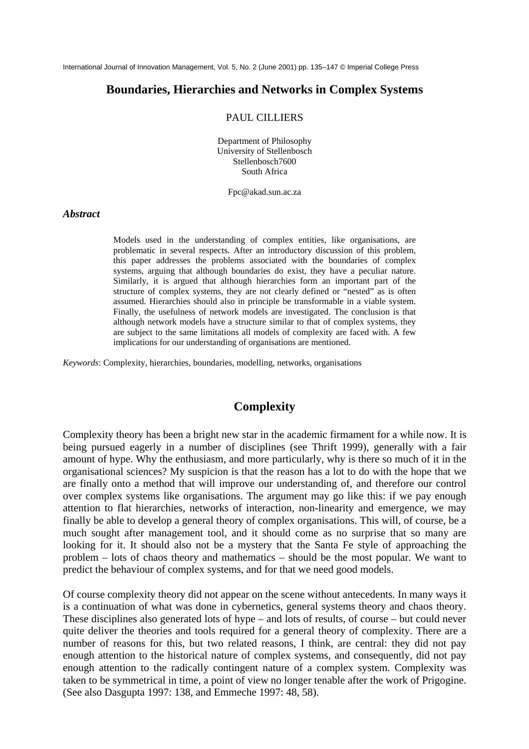International Journal of Innovation Management, Vol. 5, No. 2 (June 2001) pp. 135–147 © Imperial College Press

## **Boundaries, Hierarchies and Networks in Complex Systems**

### PAUL CILLIERS

Department of Philosophy University of Stellenbosch Stellenbosch7600 South Africa

Fpc@akad.sun.ac.za

#### *Abstract*

Models used in the understanding of complex entities, like organisations, are problematic in several respects. After an introductory discussion of this problem, this paper addresses the problems associated with the boundaries of complex systems, arguing that although boundaries do exist, they have a peculiar nature. Similarly, it is argued that although hierarchies form an important part of the structure of complex systems, they are not clearly defined or "nested" as is often assumed. Hierarchies should also in principle be transformable in a viable system. Finally, the usefulness of network models are investigated. The conclusion is that although network models have a structure similar to that of complex systems, they are subject to the same limitations all models of complexity are faced with. A few implications for our understanding of organisations are mentioned.

*Keywords*: Complexity, hierarchies, boundaries, modelling, networks, organisations

### **Complexity**

Complexity theory has been a bright new star in the academic firmament for a while now. It is being pursued eagerly in a number of disciplines (see Thrift 1999), generally with a fair amount of hype. Why the enthusiasm, and more particularly, why is there so much of it in the organisational sciences? My suspicion is that the reason has a lot to do with the hope that we are finally onto a method that will improve our understanding of, and therefore our control over complex systems like organisations. The argument may go like this: if we pay enough attention to flat hierarchies, networks of interaction, non-linearity and emergence, we may finally be able to develop a general theory of complex organisations. This will, of course, be a much sought after management tool, and it should come as no surprise that so many are looking for it. It should also not be a mystery that the Santa Fe style of approaching the problem – lots of chaos theory and mathematics – should be the most popular. We want to predict the behaviour of complex systems, and for that we need good models.

Of course complexity theory did not appear on the scene without antecedents. In many ways it is a continuation of what was done in cybernetics, general systems theory and chaos theory. These disciplines also generated lots of hype – and lots of results, of course – but could never quite deliver the theories and tools required for a general theory of complexity. There are a number of reasons for this, but two related reasons, I think, are central: they did not pay enough attention to the historical nature of complex systems, and consequently, did not pay enough attention to the radically contingent nature of a complex system. Complexity was taken to be symmetrical in time, a point of view no longer tenable after the work of Prigogine. (See also Dasgupta 1997: 138, and Emmeche 1997: 48, 58).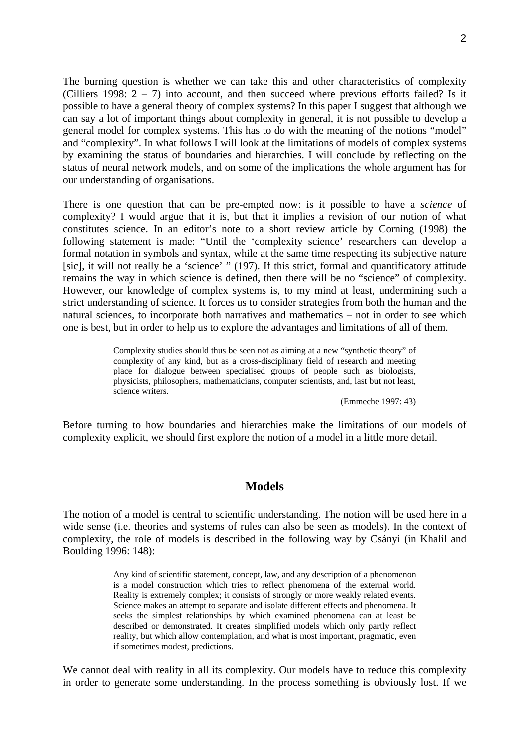The burning question is whether we can take this and other characteristics of complexity (Cilliers 1998: 2 – 7) into account, and then succeed where previous efforts failed? Is it possible to have a general theory of complex systems? In this paper I suggest that although we can say a lot of important things about complexity in general, it is not possible to develop a general model for complex systems. This has to do with the meaning of the notions "model" and "complexity". In what follows I will look at the limitations of models of complex systems by examining the status of boundaries and hierarchies. I will conclude by reflecting on the status of neural network models, and on some of the implications the whole argument has for our understanding of organisations.

There is one question that can be pre-empted now: is it possible to have a *science* of complexity? I would argue that it is, but that it implies a revision of our notion of what constitutes science. In an editor's note to a short review article by Corning (1998) the following statement is made: "Until the 'complexity science' researchers can develop a formal notation in symbols and syntax, while at the same time respecting its subjective nature [sic], it will not really be a 'science' " (197). If this strict, formal and quantificatory attitude remains the way in which science is defined, then there will be no "science" of complexity. However, our knowledge of complex systems is, to my mind at least, undermining such a strict understanding of science. It forces us to consider strategies from both the human and the natural sciences, to incorporate both narratives and mathematics – not in order to see which one is best, but in order to help us to explore the advantages and limitations of all of them.

> Complexity studies should thus be seen not as aiming at a new "synthetic theory" of complexity of any kind, but as a cross-disciplinary field of research and meeting place for dialogue between specialised groups of people such as biologists, physicists, philosophers, mathematicians, computer scientists, and, last but not least, science writers.

> > (Emmeche 1997: 43)

Before turning to how boundaries and hierarchies make the limitations of our models of complexity explicit, we should first explore the notion of a model in a little more detail.

## **Models**

The notion of a model is central to scientific understanding. The notion will be used here in a wide sense (i.e. theories and systems of rules can also be seen as models). In the context of complexity, the role of models is described in the following way by Csányi (in Khalil and Boulding 1996: 148):

> Any kind of scientific statement, concept, law, and any description of a phenomenon is a model construction which tries to reflect phenomena of the external world. Reality is extremely complex; it consists of strongly or more weakly related events. Science makes an attempt to separate and isolate different effects and phenomena. It seeks the simplest relationships by which examined phenomena can at least be described or demonstrated. It creates simplified models which only partly reflect reality, but which allow contemplation, and what is most important, pragmatic, even if sometimes modest, predictions.

We cannot deal with reality in all its complexity. Our models have to reduce this complexity in order to generate some understanding. In the process something is obviously lost. If we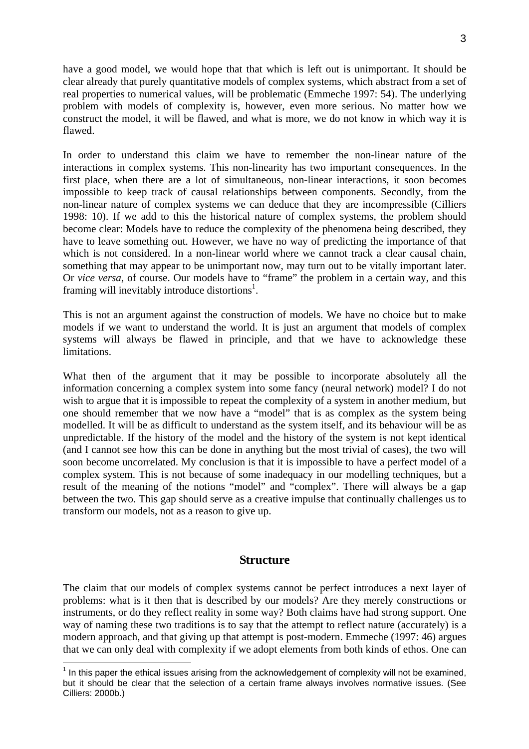have a good model, we would hope that that which is left out is unimportant. It should be clear already that purely quantitative models of complex systems, which abstract from a set of real properties to numerical values, will be problematic (Emmeche 1997: 54). The underlying problem with models of complexity is, however, even more serious. No matter how we construct the model, it will be flawed, and what is more, we do not know in which way it is flawed.

In order to understand this claim we have to remember the non-linear nature of the interactions in complex systems. This non-linearity has two important consequences. In the first place, when there are a lot of simultaneous, non-linear interactions, it soon becomes impossible to keep track of causal relationships between components. Secondly, from the non-linear nature of complex systems we can deduce that they are incompressible (Cilliers 1998: 10). If we add to this the historical nature of complex systems, the problem should become clear: Models have to reduce the complexity of the phenomena being described, they have to leave something out. However, we have no way of predicting the importance of that which is not considered. In a non-linear world where we cannot track a clear causal chain, something that may appear to be unimportant now, may turn out to be vitally important later. Or *vice versa*, of course. Our models have to "frame" the problem in a certain way, and this framing will inevitably introduce distortions<sup>[1](#page-2-0)</sup>.

This is not an argument against the construction of models. We have no choice but to make models if we want to understand the world. It is just an argument that models of complex systems will always be flawed in principle, and that we have to acknowledge these limitations.

What then of the argument that it may be possible to incorporate absolutely all the information concerning a complex system into some fancy (neural network) model? I do not wish to argue that it is impossible to repeat the complexity of a system in another medium, but one should remember that we now have a "model" that is as complex as the system being modelled. It will be as difficult to understand as the system itself, and its behaviour will be as unpredictable. If the history of the model and the history of the system is not kept identical (and I cannot see how this can be done in anything but the most trivial of cases), the two will soon become uncorrelated. My conclusion is that it is impossible to have a perfect model of a complex system. This is not because of some inadequacy in our modelling techniques, but a result of the meaning of the notions "model" and "complex". There will always be a gap between the two. This gap should serve as a creative impulse that continually challenges us to transform our models, not as a reason to give up.

### **Structure**

The claim that our models of complex systems cannot be perfect introduces a next layer of problems: what is it then that is described by our models? Are they merely constructions or instruments, or do they reflect reality in some way? Both claims have had strong support. One way of naming these two traditions is to say that the attempt to reflect nature (accurately) is a modern approach, and that giving up that attempt is post-modern. Emmeche (1997: 46) argues that we can only deal with complexity if we adopt elements from both kinds of ethos. One can

 $\overline{a}$ 

<span id="page-2-0"></span> $<sup>1</sup>$  In this paper the ethical issues arising from the acknowledgement of complexity will not be examined,</sup> but it should be clear that the selection of a certain frame always involves normative issues. (See Cilliers: 2000b.)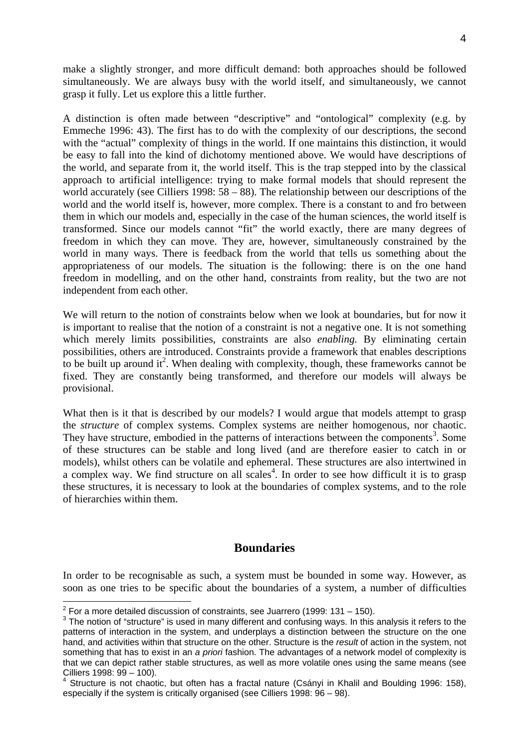make a slightly stronger, and more difficult demand: both approaches should be followed simultaneously. We are always busy with the world itself, and simultaneously, we cannot grasp it fully. Let us explore this a little further.

A distinction is often made between "descriptive" and "ontological" complexity (e.g. by Emmeche 1996: 43). The first has to do with the complexity of our descriptions, the second with the "actual" complexity of things in the world. If one maintains this distinction, it would be easy to fall into the kind of dichotomy mentioned above. We would have descriptions of the world, and separate from it, the world itself. This is the trap stepped into by the classical approach to artificial intelligence: trying to make formal models that should represent the world accurately (see Cilliers 1998: 58 – 88). The relationship between our descriptions of the world and the world itself is, however, more complex. There is a constant to and fro between them in which our models and, especially in the case of the human sciences, the world itself is transformed. Since our models cannot "fit" the world exactly, there are many degrees of freedom in which they can move. They are, however, simultaneously constrained by the world in many ways. There is feedback from the world that tells us something about the appropriateness of our models. The situation is the following: there is on the one hand freedom in modelling, and on the other hand, constraints from reality, but the two are not independent from each other.

We will return to the notion of constraints below when we look at boundaries, but for now it is important to realise that the notion of a constraint is not a negative one. It is not something which merely limits possibilities, constraints are also *enabling.* By eliminating certain possibilities, others are introduced. Constraints provide a framework that enables descriptions to be built up around it<sup>2</sup>. When dealing with complexity, though, these frameworks cannot be fixed. They are constantly being transformed, and therefore our models will always be provisional.

What then is it that is described by our models? I would argue that models attempt to grasp the *structure* of complex systems. Complex systems are neither homogenous, nor chaotic. They have structure, embodied in the patterns of interactions between the components<sup>[3](#page-3-1)</sup>. Some of these structures can be stable and long lived (and are therefore easier to catch in or models), whilst others can be volatile and ephemeral. These structures are also intertwined in a complex way. We find structure on all scales<sup>[4](#page-3-2)</sup>. In order to see how difficult it is to grasp these structures, it is necessary to look at the boundaries of complex systems, and to the role of hierarchies within them.

# **Boundaries**

In order to be recognisable as such, a system must be bounded in some way. However, as soon as one tries to be specific about the boundaries of a system, a number of difficulties

 $\frac{2}{\pi}$  For a more detailed discussion of constraints, see Juarrero (1999: 131 – 150).<br>3 The nation of "etrusture" is used in many different and confusing wave. In this

<span id="page-3-1"></span><span id="page-3-0"></span> $3$  The notion of "structure" is used in many different and confusing ways. In this analysis it refers to the patterns of interaction in the system, and underplays a distinction between the structure on the one hand, and activities within that structure on the other. Structure is the *result* of action in the system, not something that has to exist in an *a priori* fashion. The advantages of a network model of complexity is that we can depict rather stable structures, as well as more volatile ones using the same means (see Cilliers 1998: 99 – 100).

<span id="page-3-2"></span><sup>4</sup> Structure is not chaotic, but often has a fractal nature (Csányi in Khalil and Boulding 1996: 158), especially if the system is critically organised (see Cilliers 1998: 96 – 98).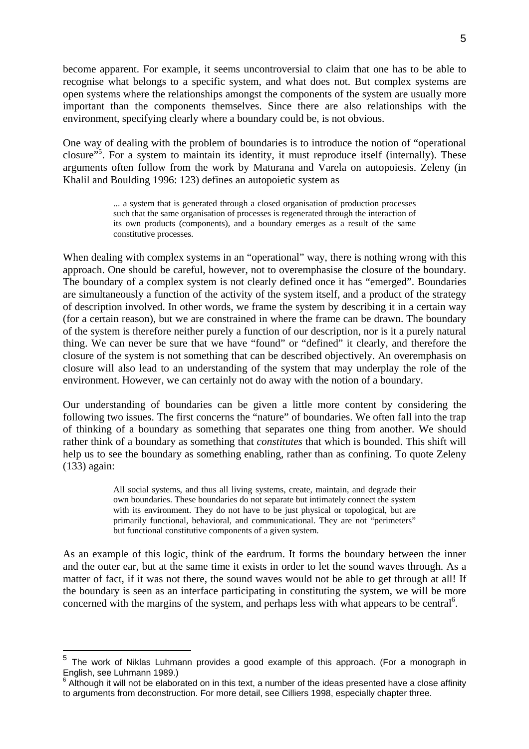become apparent. For example, it seems uncontroversial to claim that one has to be able to recognise what belongs to a specific system, and what does not. But complex systems are open systems where the relationships amongst the components of the system are usually more important than the components themselves. Since there are also relationships with the environment, specifying clearly where a boundary could be, is not obvious.

One way of dealing with the problem of boundaries is to introduce the notion of "operational closure<sup>55</sup>. For a system to maintain its identity, it must reproduce itself (internally). These arguments often follow from the work by Maturana and Varela on autopoiesis. Zeleny (in Khalil and Boulding 1996: 123) defines an autopoietic system as

> ... a system that is generated through a closed organisation of production processes such that the same organisation of processes is regenerated through the interaction of its own products (components), and a boundary emerges as a result of the same constitutive processes.

When dealing with complex systems in an "operational" way, there is nothing wrong with this approach. One should be careful, however, not to overemphasise the closure of the boundary. The boundary of a complex system is not clearly defined once it has "emerged". Boundaries are simultaneously a function of the activity of the system itself, and a product of the strategy of description involved. In other words, we frame the system by describing it in a certain way (for a certain reason), but we are constrained in where the frame can be drawn. The boundary of the system is therefore neither purely a function of our description, nor is it a purely natural thing. We can never be sure that we have "found" or "defined" it clearly, and therefore the closure of the system is not something that can be described objectively. An overemphasis on closure will also lead to an understanding of the system that may underplay the role of the environment. However, we can certainly not do away with the notion of a boundary.

Our understanding of boundaries can be given a little more content by considering the following two issues. The first concerns the "nature" of boundaries. We often fall into the trap of thinking of a boundary as something that separates one thing from another. We should rather think of a boundary as something that *constitutes* that which is bounded. This shift will help us to see the boundary as something enabling, rather than as confining. To quote Zeleny (133) again:

> All social systems, and thus all living systems, create, maintain, and degrade their own boundaries. These boundaries do not separate but intimately connect the system with its environment. They do not have to be just physical or topological, but are primarily functional, behavioral, and communicational. They are not "perimeters" but functional constitutive components of a given system.

As an example of this logic, think of the eardrum. It forms the boundary between the inner and the outer ear, but at the same time it exists in order to let the sound waves through. As a matter of fact, if it was not there, the sound waves would not be able to get through at all! If the boundary is seen as an interface participating in constituting the system, we will be more concerned with the margins of the system, and perhaps less with what appears to be central<sup>[6](#page-4-1)</sup>.

1

<span id="page-4-0"></span><sup>5</sup> The work of Niklas Luhmann provides a good example of this approach. (For a monograph in English, see Luhmann 1989.)<br><sup>6</sup> Although it will not be eleberi

<span id="page-4-1"></span>Although it will not be elaborated on in this text, a number of the ideas presented have a close affinity to arguments from deconstruction. For more detail, see Cilliers 1998, especially chapter three.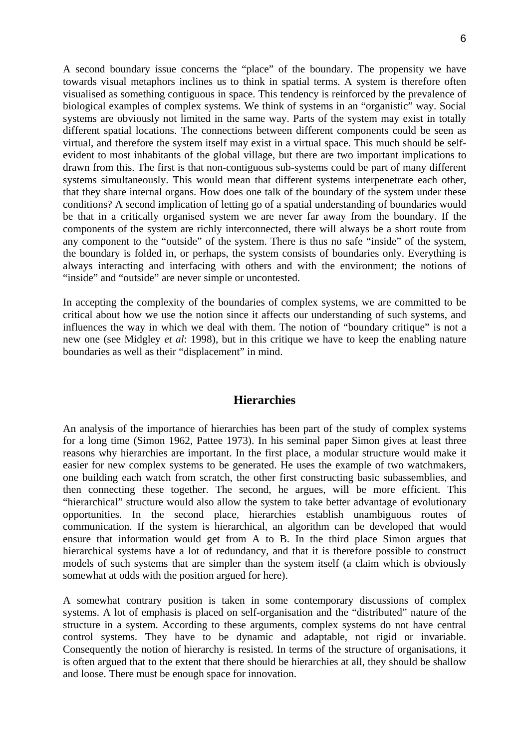A second boundary issue concerns the "place" of the boundary. The propensity we have towards visual metaphors inclines us to think in spatial terms. A system is therefore often visualised as something contiguous in space. This tendency is reinforced by the prevalence of biological examples of complex systems. We think of systems in an "organistic" way. Social systems are obviously not limited in the same way. Parts of the system may exist in totally different spatial locations. The connections between different components could be seen as virtual, and therefore the system itself may exist in a virtual space. This much should be selfevident to most inhabitants of the global village, but there are two important implications to drawn from this. The first is that non-contiguous sub-systems could be part of many different systems simultaneously. This would mean that different systems interpenetrate each other, that they share internal organs. How does one talk of the boundary of the system under these conditions? A second implication of letting go of a spatial understanding of boundaries would be that in a critically organised system we are never far away from the boundary. If the components of the system are richly interconnected, there will always be a short route from any component to the "outside" of the system. There is thus no safe "inside" of the system, the boundary is folded in, or perhaps, the system consists of boundaries only. Everything is always interacting and interfacing with others and with the environment; the notions of "inside" and "outside" are never simple or uncontested.

In accepting the complexity of the boundaries of complex systems, we are committed to be critical about how we use the notion since it affects our understanding of such systems, and influences the way in which we deal with them. The notion of "boundary critique" is not a new one (see Midgley *et al*: 1998), but in this critique we have to keep the enabling nature boundaries as well as their "displacement" in mind.

### **Hierarchies**

An analysis of the importance of hierarchies has been part of the study of complex systems for a long time (Simon 1962, Pattee 1973). In his seminal paper Simon gives at least three reasons why hierarchies are important. In the first place, a modular structure would make it easier for new complex systems to be generated. He uses the example of two watchmakers, one building each watch from scratch, the other first constructing basic subassemblies, and then connecting these together. The second, he argues, will be more efficient. This "hierarchical" structure would also allow the system to take better advantage of evolutionary opportunities. In the second place, hierarchies establish unambiguous routes of communication. If the system is hierarchical, an algorithm can be developed that would ensure that information would get from A to B. In the third place Simon argues that hierarchical systems have a lot of redundancy, and that it is therefore possible to construct models of such systems that are simpler than the system itself (a claim which is obviously somewhat at odds with the position argued for here).

A somewhat contrary position is taken in some contemporary discussions of complex systems. A lot of emphasis is placed on self-organisation and the "distributed" nature of the structure in a system. According to these arguments, complex systems do not have central control systems. They have to be dynamic and adaptable, not rigid or invariable. Consequently the notion of hierarchy is resisted. In terms of the structure of organisations, it is often argued that to the extent that there should be hierarchies at all, they should be shallow and loose. There must be enough space for innovation.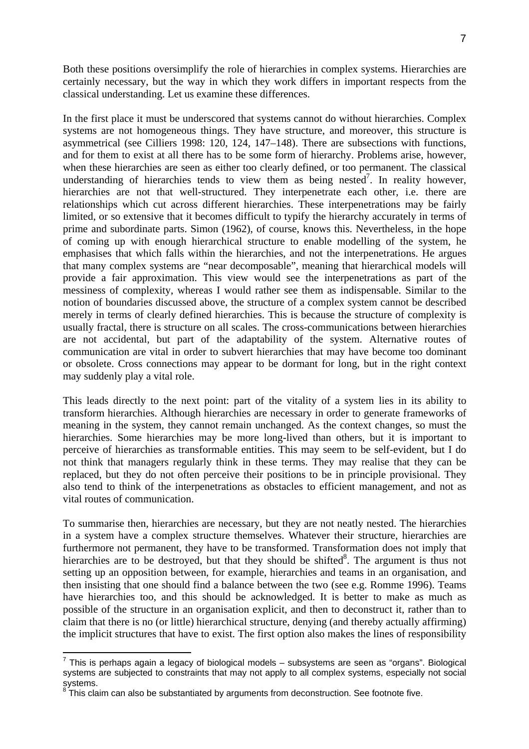Both these positions oversimplify the role of hierarchies in complex systems. Hierarchies are certainly necessary, but the way in which they work differs in important respects from the classical understanding. Let us examine these differences.

In the first place it must be underscored that systems cannot do without hierarchies. Complex systems are not homogeneous things. They have structure, and moreover, this structure is asymmetrical (see Cilliers 1998: 120, 124, 147–148). There are subsections with functions, and for them to exist at all there has to be some form of hierarchy. Problems arise, however, when these hierarchies are seen as either too clearly defined, or too permanent. The classical understanding of hierarchies tends to view them as being nested<sup>7</sup>. In reality however, hierarchies are not that well-structured. They interpenetrate each other, i.e. there are relationships which cut across different hierarchies. These interpenetrations may be fairly limited, or so extensive that it becomes difficult to typify the hierarchy accurately in terms of prime and subordinate parts. Simon (1962), of course, knows this. Nevertheless, in the hope of coming up with enough hierarchical structure to enable modelling of the system, he emphasises that which falls within the hierarchies, and not the interpenetrations. He argues that many complex systems are "near decomposable", meaning that hierarchical models will provide a fair approximation. This view would see the interpenetrations as part of the messiness of complexity, whereas I would rather see them as indispensable. Similar to the notion of boundaries discussed above, the structure of a complex system cannot be described merely in terms of clearly defined hierarchies. This is because the structure of complexity is usually fractal, there is structure on all scales. The cross-communications between hierarchies are not accidental, but part of the adaptability of the system. Alternative routes of communication are vital in order to subvert hierarchies that may have become too dominant or obsolete. Cross connections may appear to be dormant for long, but in the right context may suddenly play a vital role.

This leads directly to the next point: part of the vitality of a system lies in its ability to transform hierarchies. Although hierarchies are necessary in order to generate frameworks of meaning in the system, they cannot remain unchanged. As the context changes, so must the hierarchies. Some hierarchies may be more long-lived than others, but it is important to perceive of hierarchies as transformable entities. This may seem to be self-evident, but I do not think that managers regularly think in these terms. They may realise that they can be replaced, but they do not often perceive their positions to be in principle provisional. They also tend to think of the interpenetrations as obstacles to efficient management, and not as vital routes of communication.

To summarise then, hierarchies are necessary, but they are not neatly nested. The hierarchies in a system have a complex structure themselves. Whatever their structure, hierarchies are furthermore not permanent, they have to be transformed. Transformation does not imply that hierarchies are to be destroyed, but that they should be shifted $\delta$ . The argument is thus not setting up an opposition between, for example, hierarchies and teams in an organisation, and then insisting that one should find a balance between the two (see e.g. Romme 1996). Teams have hierarchies too, and this should be acknowledged. It is better to make as much as possible of the structure in an organisation explicit, and then to deconstruct it, rather than to claim that there is no (or little) hierarchical structure, denying (and thereby actually affirming) the implicit structures that have to exist. The first option also makes the lines of responsibility

<span id="page-6-0"></span> 7 This is perhaps again a legacy of biological models – subsystems are seen as "organs". Biological systems are subjected to constraints that may not apply to all complex systems, especially not social systems.<br><sup>8</sup> This claim can also be substantiated by arguments from deconstruction. See footnote five.

<span id="page-6-1"></span>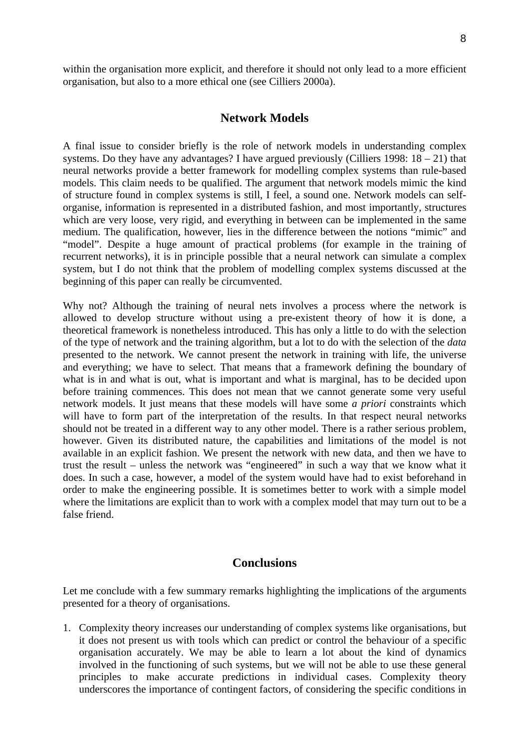8

within the organisation more explicit, and therefore it should not only lead to a more efficient organisation, but also to a more ethical one (see Cilliers 2000a).

### **Network Models**

A final issue to consider briefly is the role of network models in understanding complex systems. Do they have any advantages? I have argued previously (Cilliers 1998:  $18 - 21$ ) that neural networks provide a better framework for modelling complex systems than rule-based models. This claim needs to be qualified. The argument that network models mimic the kind of structure found in complex systems is still, I feel, a sound one. Network models can selforganise, information is represented in a distributed fashion, and most importantly, structures which are very loose, very rigid, and everything in between can be implemented in the same medium. The qualification, however, lies in the difference between the notions "mimic" and "model". Despite a huge amount of practical problems (for example in the training of recurrent networks), it is in principle possible that a neural network can simulate a complex system, but I do not think that the problem of modelling complex systems discussed at the beginning of this paper can really be circumvented.

Why not? Although the training of neural nets involves a process where the network is allowed to develop structure without using a pre-existent theory of how it is done, a theoretical framework is nonetheless introduced. This has only a little to do with the selection of the type of network and the training algorithm, but a lot to do with the selection of the *data* presented to the network. We cannot present the network in training with life, the universe and everything; we have to select. That means that a framework defining the boundary of what is in and what is out, what is important and what is marginal, has to be decided upon before training commences. This does not mean that we cannot generate some very useful network models. It just means that these models will have some *a priori* constraints which will have to form part of the interpretation of the results. In that respect neural networks should not be treated in a different way to any other model. There is a rather serious problem, however. Given its distributed nature, the capabilities and limitations of the model is not available in an explicit fashion. We present the network with new data, and then we have to trust the result – unless the network was "engineered" in such a way that we know what it does. In such a case, however, a model of the system would have had to exist beforehand in order to make the engineering possible. It is sometimes better to work with a simple model where the limitations are explicit than to work with a complex model that may turn out to be a false friend.

### **Conclusions**

Let me conclude with a few summary remarks highlighting the implications of the arguments presented for a theory of organisations.

1. Complexity theory increases our understanding of complex systems like organisations, but it does not present us with tools which can predict or control the behaviour of a specific organisation accurately. We may be able to learn a lot about the kind of dynamics involved in the functioning of such systems, but we will not be able to use these general principles to make accurate predictions in individual cases. Complexity theory underscores the importance of contingent factors, of considering the specific conditions in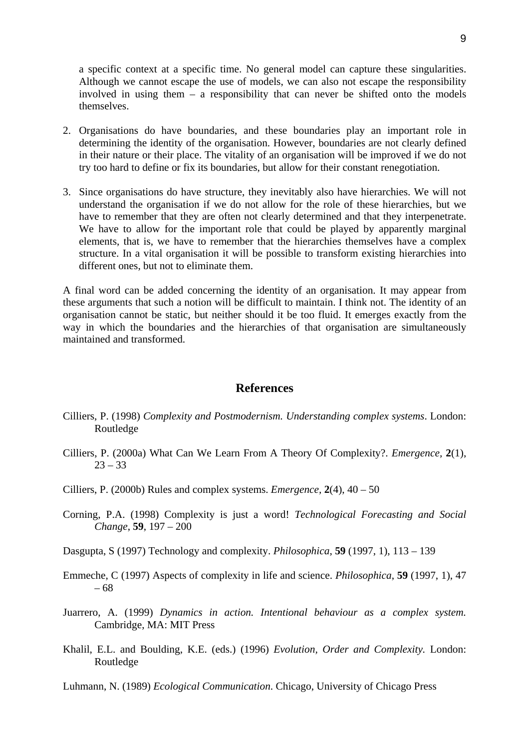a specific context at a specific time. No general model can capture these singularities. Although we cannot escape the use of models, we can also not escape the responsibility involved in using them – a responsibility that can never be shifted onto the models themselves.

- 2. Organisations do have boundaries, and these boundaries play an important role in determining the identity of the organisation. However, boundaries are not clearly defined in their nature or their place. The vitality of an organisation will be improved if we do not try too hard to define or fix its boundaries, but allow for their constant renegotiation.
- 3. Since organisations do have structure, they inevitably also have hierarchies. We will not understand the organisation if we do not allow for the role of these hierarchies, but we have to remember that they are often not clearly determined and that they interpenetrate. We have to allow for the important role that could be played by apparently marginal elements, that is, we have to remember that the hierarchies themselves have a complex structure. In a vital organisation it will be possible to transform existing hierarchies into different ones, but not to eliminate them.

A final word can be added concerning the identity of an organisation. It may appear from these arguments that such a notion will be difficult to maintain. I think not. The identity of an organisation cannot be static, but neither should it be too fluid. It emerges exactly from the way in which the boundaries and the hierarchies of that organisation are simultaneously maintained and transformed.

### **References**

- Cilliers, P. (1998) *Complexity and Postmodernism. Understanding complex systems*. London: Routledge
- Cilliers, P. (2000a) What Can We Learn From A Theory Of Complexity?. *Emergence,* **2**(1),  $23 - 33$
- Cilliers, P. (2000b) Rules and complex systems. *Emergence,* **2**(4), 40 50
- Corning, P.A. (1998) Complexity is just a word! *Technological Forecasting and Social Change*, **59**, 197 – 200
- Dasgupta, S (1997) Technology and complexity. *Philosophica*, **59** (1997, 1), 113 139
- Emmeche, C (1997) Aspects of complexity in life and science. *Philosophica*, **59** (1997, 1), 47 – 68
- Juarrero, A. (1999) *Dynamics in action. Intentional behaviour as a complex system.*  Cambridge, MA: MIT Press
- Khalil, E.L. and Boulding, K.E. (eds.) (1996) *Evolution, Order and Complexity.* London: Routledge
- Luhmann, N. (1989) *Ecological Communication*. Chicago, University of Chicago Press